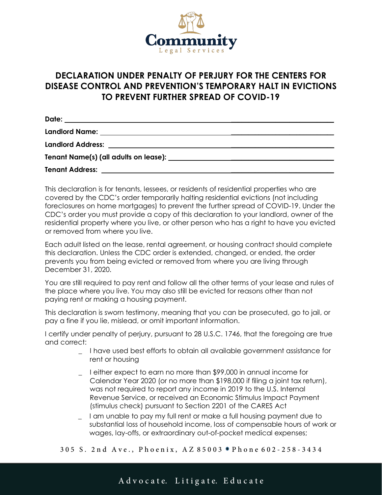

## **DECLARATION UNDER PENALTY OF PERJURY FOR THE CENTERS FOR DISEASE CONTROL AND PREVENTION'S TEMPORARY HALT IN EVICTIONS TO PREVENT FURTHER SPREAD OF COVID-19**

| Date:<br><u> 1989 - Johann John Stone, markin sanadi shirta mashrida na shekara ta 1989 - An tsara tsara tsara tsara tsar</u> |  |
|-------------------------------------------------------------------------------------------------------------------------------|--|
|                                                                                                                               |  |
|                                                                                                                               |  |
|                                                                                                                               |  |
| <b>Tenant Address:</b>                                                                                                        |  |

This declaration is for tenants, lessees, or residents of residential properties who are covered by the CDC's order temporarily halting residential evictions (not including foreclosures on home mortgages) to prevent the further spread of COVID-19. Under the CDC's order you must provide a copy of this declaration to your landlord, owner of the residential property where you live, or other person who has a right to have you evicted or removed from where you live.

Each adult listed on the lease, rental agreement, or housing contract should complete this declaration. Unless the CDC order is extended, changed, or ended, the order prevents you from being evicted or removed from where you are living through December 31, 2020.

You are still required to pay rent and follow all the other terms of your lease and rules of the place where you live. You may also still be evicted for reasons other than not paying rent or making a housing payment.

This declaration is sworn testimony, meaning that you can be prosecuted, go to jail, or pay a fine if you lie, mislead, or omit important information.

I certify under penalty of perjury, pursuant to 28 U.S.C. 1746, that the foregoing are true and correct:

- \_ I have used best efforts to obtain all available government assistance for rent or housing
- \_ I either expect to earn no more than \$99,000 in annual income for Calendar Year 2020 (or no more than \$198,000 if filing a joint tax return), was not required to report any income in 2019 to the U.S. Internal Revenue Service, or received an Economic Stimulus Impact Payment (stimulus check) pursuant to Section 2201 of the CARES Act
- \_ I am unable to pay my full rent or make a full housing payment due to substantial loss of household income, loss of compensable hours of work or wages, lay-offs, or extraordinary out-of-pocket medical expenses;

305 S. 2nd Ave., Phoenix, AZ 85003 . Phone 602-258-3434

A dvocate. Litigate. Educate